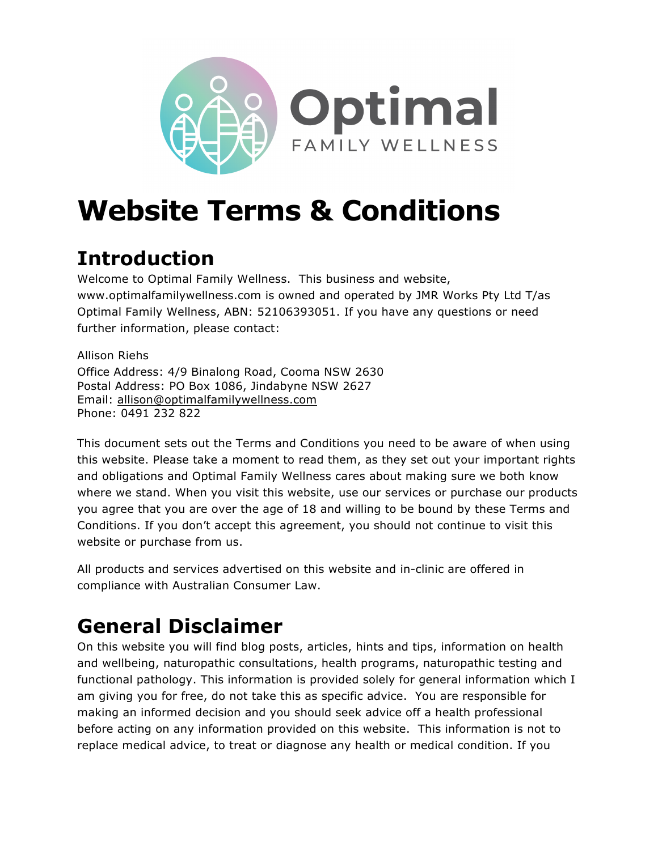

# **Website Terms & Conditions**

# **Introduction**

Welcome to Optimal Family Wellness. This business and website, www.optimalfamilywellness.com is owned and operated by JMR Works Pty Ltd T/as Optimal Family Wellness, ABN: 52106393051. If you have any questions or need further information, please contact:

Allison Riehs Office Address: 4/9 Binalong Road, Cooma NSW 2630 Postal Address: PO Box 1086, Jindabyne NSW 2627 Email: allison@optimalfamilywellness.com Phone: 0491 232 822

This document sets out the Terms and Conditions you need to be aware of when using this website. Please take a moment to read them, as they set out your important rights and obligations and Optimal Family Wellness cares about making sure we both know where we stand. When you visit this website, use our services or purchase our products you agree that you are over the age of 18 and willing to be bound by these Terms and Conditions. If you don't accept this agreement, you should not continue to visit this website or purchase from us.

All products and services advertised on this website and in-clinic are offered in compliance with Australian Consumer Law.

# **General Disclaimer**

On this website you will find blog posts, articles, hints and tips, information on health and wellbeing, naturopathic consultations, health programs, naturopathic testing and functional pathology. This information is provided solely for general information which I am giving you for free, do not take this as specific advice. You are responsible for making an informed decision and you should seek advice off a health professional before acting on any information provided on this website. This information is not to replace medical advice, to treat or diagnose any health or medical condition. If you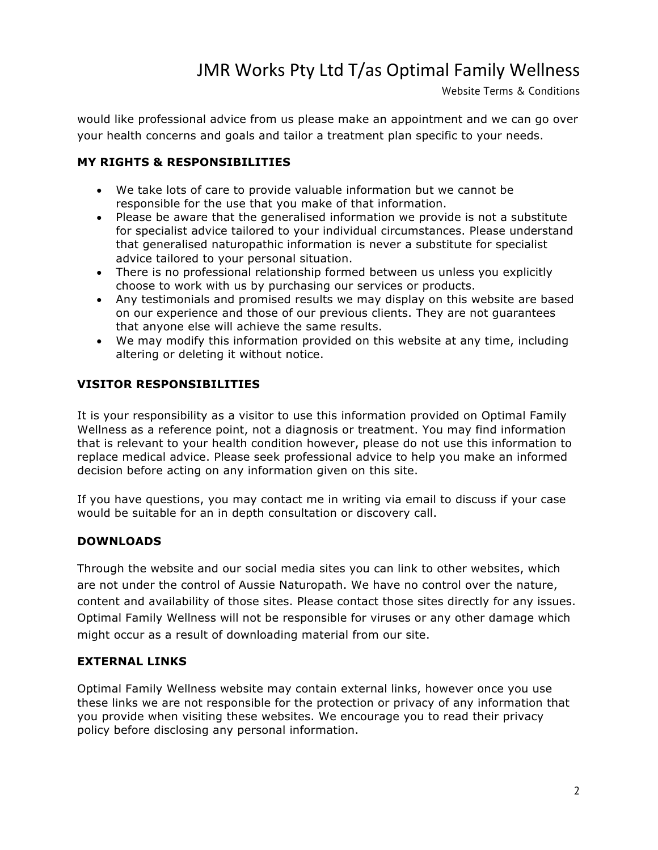Website Terms & Conditions

would like professional advice from us please make an appointment and we can go over your health concerns and goals and tailor a treatment plan specific to your needs.

#### **MY RIGHTS & RESPONSIBILITIES**

- We take lots of care to provide valuable information but we cannot be responsible for the use that you make of that information.
- Please be aware that the generalised information we provide is not a substitute for specialist advice tailored to your individual circumstances. Please understand that generalised naturopathic information is never a substitute for specialist advice tailored to your personal situation.
- There is no professional relationship formed between us unless you explicitly choose to work with us by purchasing our services or products.
- Any testimonials and promised results we may display on this website are based on our experience and those of our previous clients. They are not guarantees that anyone else will achieve the same results.
- We may modify this information provided on this website at any time, including altering or deleting it without notice.

### **VISITOR RESPONSIBILITIES**

It is your responsibility as a visitor to use this information provided on Optimal Family Wellness as a reference point, not a diagnosis or treatment. You may find information that is relevant to your health condition however, please do not use this information to replace medical advice. Please seek professional advice to help you make an informed decision before acting on any information given on this site.

If you have questions, you may contact me in writing via email to discuss if your case would be suitable for an in depth consultation or discovery call.

#### **DOWNLOADS**

Through the website and our social media sites you can link to other websites, which are not under the control of Aussie Naturopath. We have no control over the nature, content and availability of those sites. Please contact those sites directly for any issues. Optimal Family Wellness will not be responsible for viruses or any other damage which might occur as a result of downloading material from our site.

#### **EXTERNAL LINKS**

Optimal Family Wellness website may contain external links, however once you use these links we are not responsible for the protection or privacy of any information that you provide when visiting these websites. We encourage you to read their privacy policy before disclosing any personal information.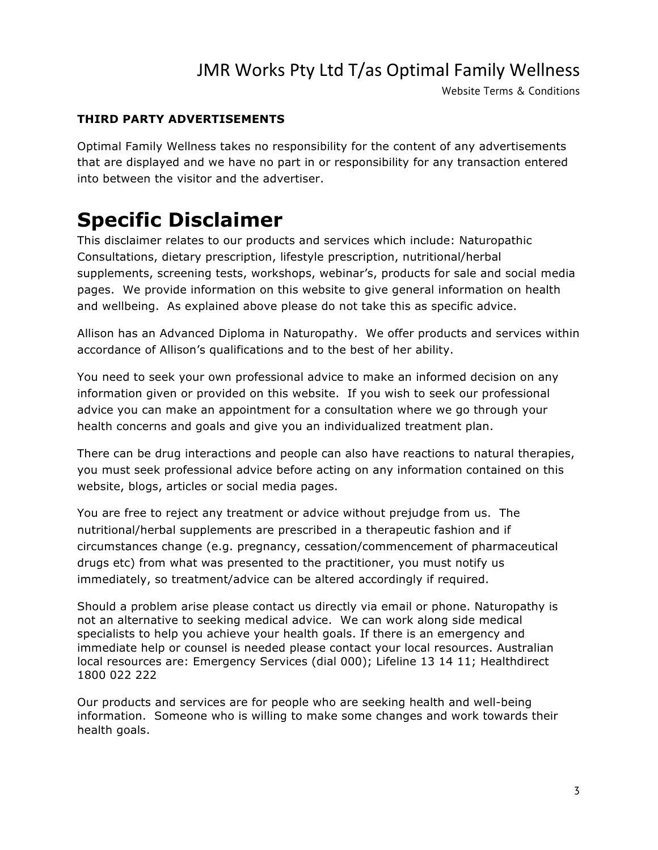Website Terms & Conditions

#### **THIRD PARTY ADVERTISEMENTS**

Optimal Family Wellness takes no responsibility for the content of any advertisements that are displayed and we have no part in or responsibility for any transaction entered into between the visitor and the advertiser.

### **Specific Disclaimer**

This disclaimer relates to our products and services which include: Naturopathic Consultations, dietary prescription, lifestyle prescription, nutritional/herbal supplements, screening tests, workshops, webinar's, products for sale and social media pages. We provide information on this website to give general information on health and wellbeing. As explained above please do not take this as specific advice.

Allison has an Advanced Diploma in Naturopathy. We offer products and services within accordance of Allison's qualifications and to the best of her ability.

You need to seek your own professional advice to make an informed decision on any information given or provided on this website. If you wish to seek our professional advice you can make an appointment for a consultation where we go through your health concerns and goals and give you an individualized treatment plan.

There can be drug interactions and people can also have reactions to natural therapies, you must seek professional advice before acting on any information contained on this website, blogs, articles or social media pages.

You are free to reject any treatment or advice without prejudge from us. The nutritional/herbal supplements are prescribed in a therapeutic fashion and if circumstances change (e.g. pregnancy, cessation/commencement of pharmaceutical drugs etc) from what was presented to the practitioner, you must notify us immediately, so treatment/advice can be altered accordingly if required.

Should a problem arise please contact us directly via email or phone. Naturopathy is not an alternative to seeking medical advice. We can work along side medical specialists to help you achieve your health goals. If there is an emergency and immediate help or counsel is needed please contact your local resources. Australian local resources are: Emergency Services (dial 000); Lifeline 13 14 11; Healthdirect 1800 022 222

Our products and services are for people who are seeking health and well-being information. Someone who is willing to make some changes and work towards their health goals.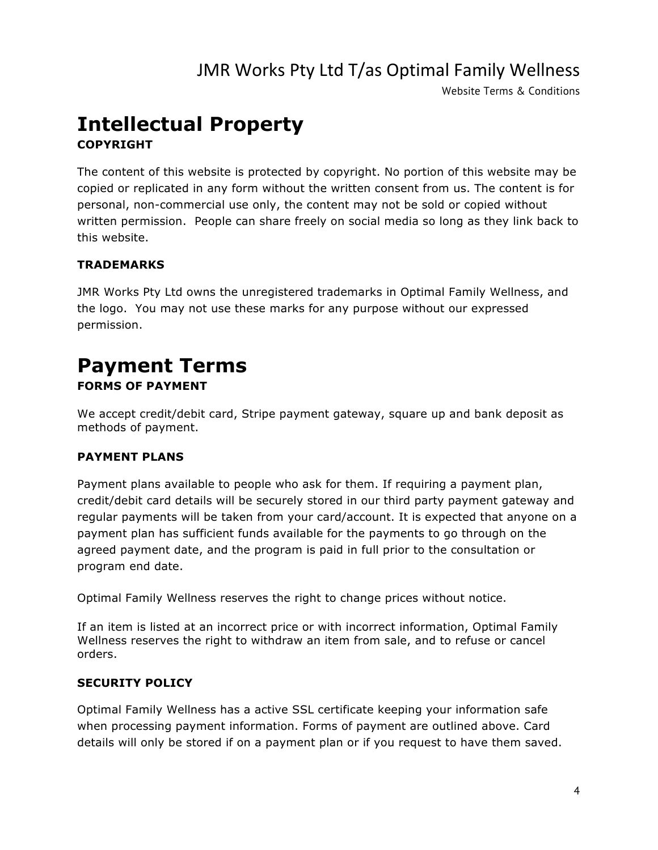Website Terms & Conditions

### **Intellectual Property COPYRIGHT**

The content of this website is protected by copyright. No portion of this website may be copied or replicated in any form without the written consent from us. The content is for personal, non-commercial use only, the content may not be sold or copied without written permission. People can share freely on social media so long as they link back to this website.

### **TRADEMARKS**

JMR Works Pty Ltd owns the unregistered trademarks in Optimal Family Wellness, and the logo. You may not use these marks for any purpose without our expressed permission.

### **Payment Terms FORMS OF PAYMENT**

We accept credit/debit card, Stripe payment gateway, square up and bank deposit as methods of payment.

### **PAYMENT PLANS**

Payment plans available to people who ask for them. If requiring a payment plan, credit/debit card details will be securely stored in our third party payment gateway and regular payments will be taken from your card/account. It is expected that anyone on a payment plan has sufficient funds available for the payments to go through on the agreed payment date, and the program is paid in full prior to the consultation or program end date.

Optimal Family Wellness reserves the right to change prices without notice.

If an item is listed at an incorrect price or with incorrect information, Optimal Family Wellness reserves the right to withdraw an item from sale, and to refuse or cancel orders.

#### **SECURITY POLICY**

Optimal Family Wellness has a active SSL certificate keeping your information safe when processing payment information. Forms of payment are outlined above. Card details will only be stored if on a payment plan or if you request to have them saved.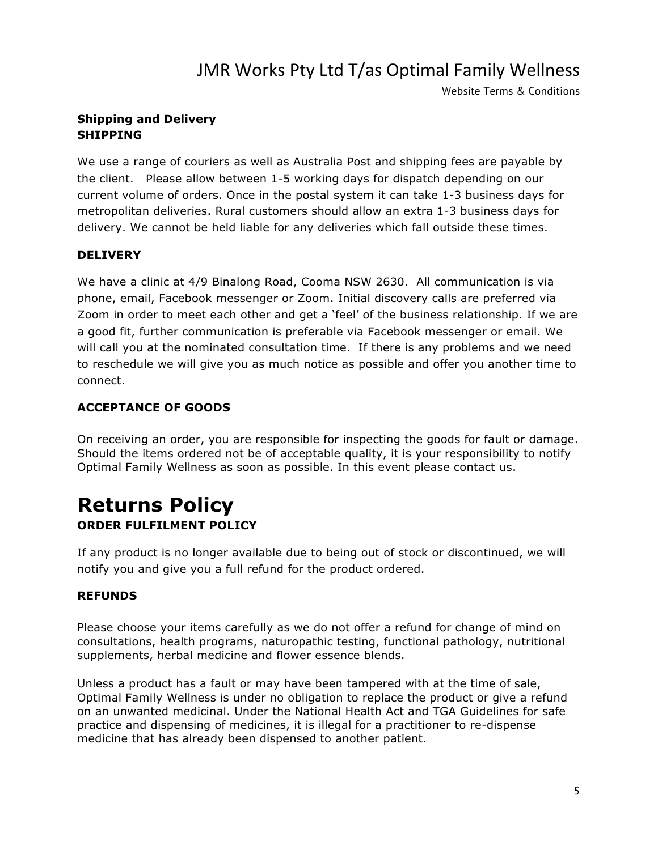Website Terms & Conditions

### **Shipping and Delivery SHIPPING**

We use a range of couriers as well as Australia Post and shipping fees are payable by the client. Please allow between 1-5 working days for dispatch depending on our current volume of orders. Once in the postal system it can take 1-3 business days for metropolitan deliveries. Rural customers should allow an extra 1-3 business days for delivery. We cannot be held liable for any deliveries which fall outside these times.

### **DELIVERY**

We have a clinic at 4/9 Binalong Road, Cooma NSW 2630. All communication is via phone, email, Facebook messenger or Zoom. Initial discovery calls are preferred via Zoom in order to meet each other and get a 'feel' of the business relationship. If we are a good fit, further communication is preferable via Facebook messenger or email. We will call you at the nominated consultation time. If there is any problems and we need to reschedule we will give you as much notice as possible and offer you another time to connect.

### **ACCEPTANCE OF GOODS**

On receiving an order, you are responsible for inspecting the goods for fault or damage. Should the items ordered not be of acceptable quality, it is your responsibility to notify Optimal Family Wellness as soon as possible. In this event please contact us.

### **Returns Policy ORDER FULFILMENT POLICY**

If any product is no longer available due to being out of stock or discontinued, we will notify you and give you a full refund for the product ordered.

### **REFUNDS**

Please choose your items carefully as we do not offer a refund for change of mind on consultations, health programs, naturopathic testing, functional pathology, nutritional supplements, herbal medicine and flower essence blends.

Unless a product has a fault or may have been tampered with at the time of sale, Optimal Family Wellness is under no obligation to replace the product or give a refund on an unwanted medicinal. Under the National Health Act and TGA Guidelines for safe practice and dispensing of medicines, it is illegal for a practitioner to re-dispense medicine that has already been dispensed to another patient.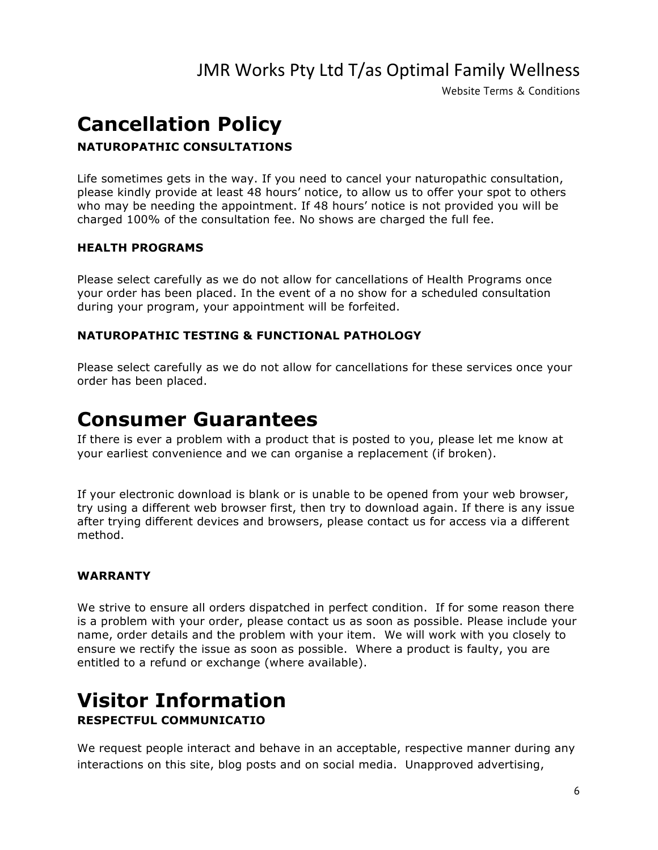Website Terms & Conditions

# **Cancellation Policy**

### **NATUROPATHIC CONSULTATIONS**

Life sometimes gets in the way. If you need to cancel your naturopathic consultation, please kindly provide at least 48 hours' notice, to allow us to offer your spot to others who may be needing the appointment. If 48 hours' notice is not provided you will be charged 100% of the consultation fee. No shows are charged the full fee.

#### **HEALTH PROGRAMS**

Please select carefully as we do not allow for cancellations of Health Programs once your order has been placed. In the event of a no show for a scheduled consultation during your program, your appointment will be forfeited.

#### **NATUROPATHIC TESTING & FUNCTIONAL PATHOLOGY**

Please select carefully as we do not allow for cancellations for these services once your order has been placed.

### **Consumer Guarantees**

If there is ever a problem with a product that is posted to you, please let me know at your earliest convenience and we can organise a replacement (if broken).

If your electronic download is blank or is unable to be opened from your web browser, try using a different web browser first, then try to download again. If there is any issue after trying different devices and browsers, please contact us for access via a different method.

### **WARRANTY**

We strive to ensure all orders dispatched in perfect condition. If for some reason there is a problem with your order, please contact us as soon as possible. Please include your name, order details and the problem with your item. We will work with you closely to ensure we rectify the issue as soon as possible. Where a product is faulty, you are entitled to a refund or exchange (where available).

### **Visitor Information RESPECTFUL COMMUNICATIO**

We request people interact and behave in an acceptable, respective manner during any interactions on this site, blog posts and on social media. Unapproved advertising,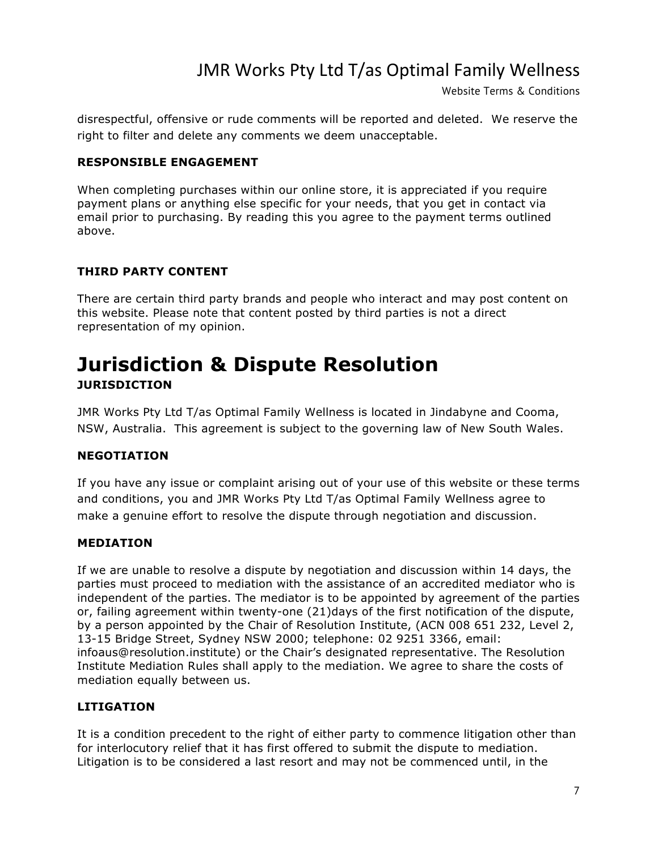Website Terms & Conditions

disrespectful, offensive or rude comments will be reported and deleted. We reserve the right to filter and delete any comments we deem unacceptable.

#### **RESPONSIBLE ENGAGEMENT**

When completing purchases within our online store, it is appreciated if you require payment plans or anything else specific for your needs, that you get in contact via email prior to purchasing. By reading this you agree to the payment terms outlined above.

### **THIRD PARTY CONTENT**

There are certain third party brands and people who interact and may post content on this website. Please note that content posted by third parties is not a direct representation of my opinion.

### **Jurisdiction & Dispute Resolution JURISDICTION**

JMR Works Pty Ltd T/as Optimal Family Wellness is located in Jindabyne and Cooma, NSW, Australia. This agreement is subject to the governing law of New South Wales.

### **NEGOTIATION**

If you have any issue or complaint arising out of your use of this website or these terms and conditions, you and JMR Works Pty Ltd T/as Optimal Family Wellness agree to make a genuine effort to resolve the dispute through negotiation and discussion.

### **MEDIATION**

If we are unable to resolve a dispute by negotiation and discussion within 14 days, the parties must proceed to mediation with the assistance of an accredited mediator who is independent of the parties. The mediator is to be appointed by agreement of the parties or, failing agreement within twenty-one (21)days of the first notification of the dispute, by a person appointed by the Chair of Resolution Institute, (ACN 008 651 232, Level 2, 13-15 Bridge Street, Sydney NSW 2000; telephone: 02 9251 3366, email: infoaus@resolution.institute) or the Chair's designated representative. The Resolution Institute Mediation Rules shall apply to the mediation. We agree to share the costs of mediation equally between us.

### **LITIGATION**

It is a condition precedent to the right of either party to commence litigation other than for interlocutory relief that it has first offered to submit the dispute to mediation. Litigation is to be considered a last resort and may not be commenced until, in the